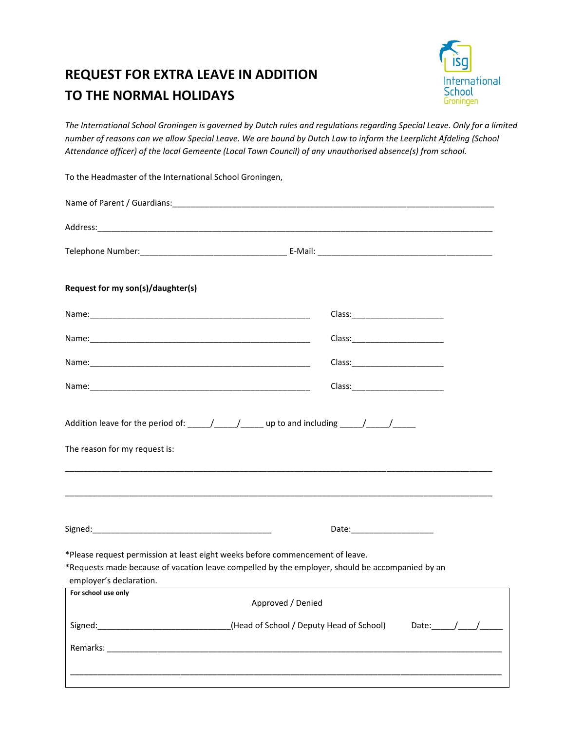## **REQUEST FOR EXTRA LEAVE IN ADDITION TO THE NORMAL HOLIDAYS**



*The International School Groningen is governed by Dutch rules and regulations regarding Special Leave. Only for a limited number of reasons can we allow Special Leave. We are bound by Dutch Law to inform the Leerplicht Afdeling (School Attendance officer) of the local Gemeente (Local Town Council) of any unauthorised absence(s) from school.*

| Request for my son(s)/daughter(s) |                                                                                                                                                                                  |
|-----------------------------------|----------------------------------------------------------------------------------------------------------------------------------------------------------------------------------|
|                                   |                                                                                                                                                                                  |
|                                   |                                                                                                                                                                                  |
|                                   |                                                                                                                                                                                  |
|                                   |                                                                                                                                                                                  |
| The reason for my request is:     | Addition leave for the period of: _____/______/_______ up to and including _____/_____/______                                                                                    |
|                                   |                                                                                                                                                                                  |
|                                   |                                                                                                                                                                                  |
| employer's declaration.           | *Please request permission at least eight weeks before commencement of leave.<br>*Requests made because of vacation leave compelled by the employer, should be accompanied by an |
| For school use only               | Approved / Denied                                                                                                                                                                |
|                                   | Signed: _______________________________(Head of School / Deputy Head of School)<br>Date: $\sqrt{2\pi}$                                                                           |